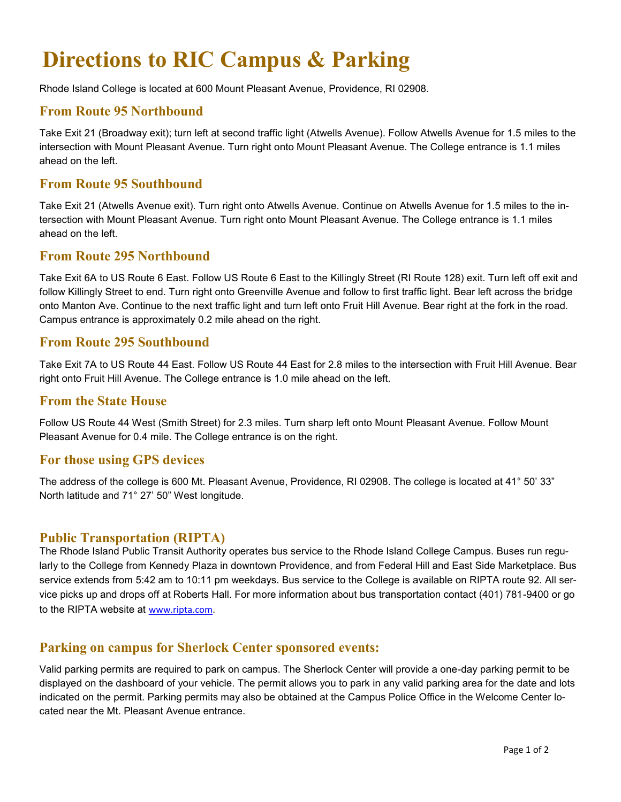# **Directions to RIC Campus & Parking**

Rhode Island College is located at 600 Mount Pleasant Avenue, Providence, RI 02908.

# **From Route 95 Northbound**

Take Exit 21 (Broadway exit); turn left at second traffic light (Atwells Avenue). Follow Atwells Avenue for 1.5 miles to the intersection with Mount Pleasant Avenue. Turn right onto Mount Pleasant Avenue. The College entrance is 1.1 miles ahead on the left.

# **From Route 95 Southbound**

Take Exit 21 (Atwells Avenue exit). Turn right onto Atwells Avenue. Continue on Atwells Avenue for 1.5 miles to the intersection with Mount Pleasant Avenue. Turn right onto Mount Pleasant Avenue. The College entrance is 1.1 miles ahead on the left.

## **From Route 295 Northbound**

Take Exit 6A to US Route 6 East. Follow US Route 6 East to the Killingly Street (RI Route 128) exit. Turn left off exit and follow Killingly Street to end. Turn right onto Greenville Avenue and follow to first traffic light. Bear left across the bridge onto Manton Ave. Continue to the next traffic light and turn left onto Fruit Hill Avenue. Bear right at the fork in the road. Campus entrance is approximately 0.2 mile ahead on the right.

## **From Route 295 Southbound**

Take Exit 7A to US Route 44 East. Follow US Route 44 East for 2.8 miles to the intersection with Fruit Hill Avenue. Bear right onto Fruit Hill Avenue. The College entrance is 1.0 mile ahead on the left.

## **From the State House**

Follow US Route 44 West (Smith Street) for 2.3 miles. Turn sharp left onto Mount Pleasant Avenue. Follow Mount Pleasant Avenue for 0.4 mile. The College entrance is on the right.

## **For those using GPS devices**

The address of the college is 600 Mt. Pleasant Avenue, Providence, RI 02908. The college is located at 41° 50' 33" North latitude and 71° 27' 50" West longitude.

## **Public Transportation (RIPTA)**

The Rhode Island Public Transit Authority operates bus service to the Rhode Island College Campus. Buses run regularly to the College from Kennedy Plaza in downtown Providence, and from Federal Hill and East Side Marketplace. Bus service extends from 5:42 am to 10:11 pm weekdays. Bus service to the College is available on RIPTA route 92. All service picks up and drops off at Roberts Hall. For more information about bus transportation contact (401) 781-9400 or go to the RIPTA website at [www.ripta.com.](http://www.ripta.com)

# **Parking on campus for Sherlock Center sponsored events:**

Valid parking permits are required to park on campus. The Sherlock Center will provide a one-day parking permit to be displayed on the dashboard of your vehicle. The permit allows you to park in any valid parking area for the date and lots indicated on the permit. Parking permits may also be obtained at the Campus Police Office in the Welcome Center located near the Mt. Pleasant Avenue entrance.